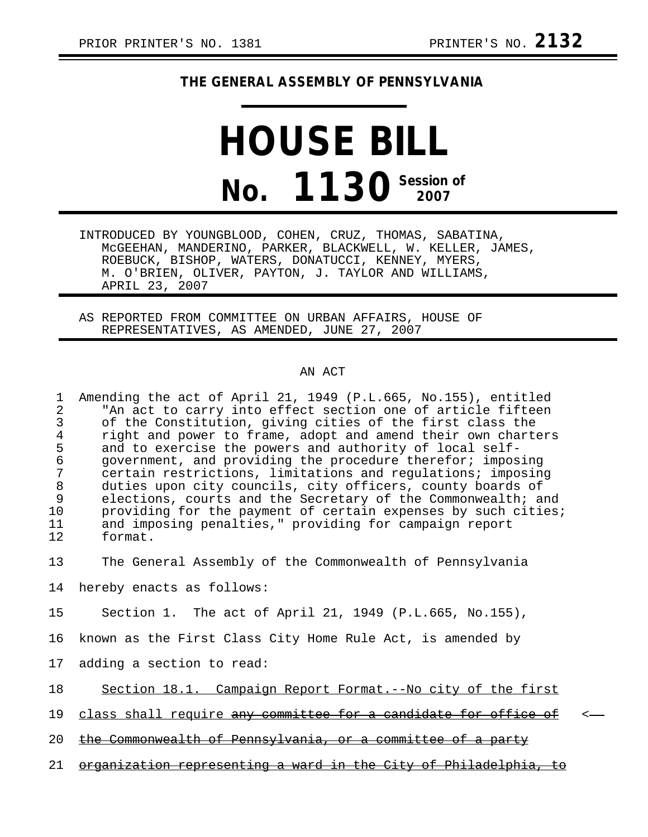## **THE GENERAL ASSEMBLY OF PENNSYLVANIA**

## **HOUSE BILL No. 1130** Session of

INTRODUCED BY YOUNGBLOOD, COHEN, CRUZ, THOMAS, SABATINA, McGEEHAN, MANDERINO, PARKER, BLACKWELL, W. KELLER, JAMES, ROEBUCK, BISHOP, WATERS, DONATUCCI, KENNEY, MYERS, M. O'BRIEN, OLIVER, PAYTON, J. TAYLOR AND WILLIAMS, APRIL 23, 2007

AS REPORTED FROM COMMITTEE ON URBAN AFFAIRS, HOUSE OF REPRESENTATIVES, AS AMENDED, JUNE 27, 2007

## AN ACT

1 Amending the act of April 21, 1949 (P.L.665, No.155), entitled 2 The act to carry into effect section one of article fifteen<br>3 Of the Constitution, giving cities of the first class the 3 of the Constitution, giving cities of the first class the<br>4 right and power to frame, adopt and amend their own charte 4 right and power to frame, adopt and amend their own charters<br>5 and to exercise the powers and authority of local self-5 and to exercise the powers and authority of local self-<br>6 qovernment, and providing the procedure therefor; impos 6 government, and providing the procedure therefor; imposing certain restrictions, limitations and regulations; imposing 8 duties upon city councils, city officers, county boards of<br>9 elections, courts and the Secretary of the Commonwealth; and 9 elections, courts and the Secretary of the Commonwealth; and<br>10 providing for the payment of certain expenses by such cities. providing for the payment of certain expenses by such cities; 11 and imposing penalties," providing for campaign report<br>12 format. format.

13 The General Assembly of the Commonwealth of Pennsylvania

14 hereby enacts as follows:

15 Section 1. The act of April 21, 1949 (P.L.665, No.155),

16 known as the First Class City Home Rule Act, is amended by

17 adding a section to read:

18 Section 18.1. Campaign Report Format.--No city of the first

19 class shall require any committee for a candidate for office of

20 the Commonwealth of Pennsylvania, or a committee of a party

21 organization representing a ward in the City of Philadelphia, to